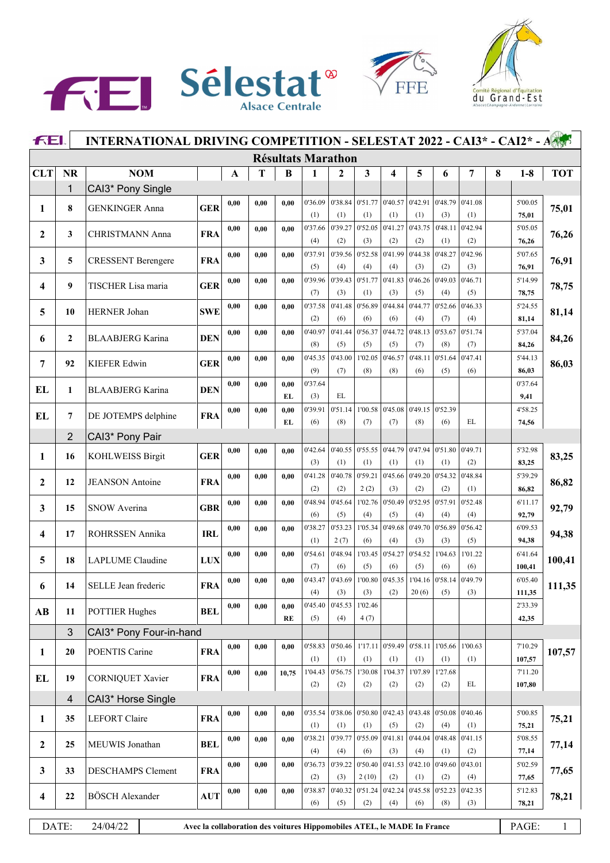





|                        | INTERNATIONAL DRIVING COMPETITION - SELESTAT 2022 - CAI3* - CAI2* - A<br>FEI. |                           |                                                                         |              |      |            |                           |                |                  |                         |                |                |                |   |                   |              |
|------------------------|-------------------------------------------------------------------------------|---------------------------|-------------------------------------------------------------------------|--------------|------|------------|---------------------------|----------------|------------------|-------------------------|----------------|----------------|----------------|---|-------------------|--------------|
|                        |                                                                               |                           |                                                                         |              |      |            | <b>Résultats Marathon</b> |                |                  |                         |                |                |                |   |                   |              |
| <b>CLT</b>             | <b>NR</b>                                                                     | <b>NOM</b>                |                                                                         | $\mathbf{A}$ | T    | B          | 1                         | $\mathbf{2}$   | 3                | $\overline{\mathbf{4}}$ | 5              | 6              | 7              | 8 | $1-8$             | <b>TOT</b>   |
|                        | $\mathbf{1}$                                                                  | CAI3* Pony Single         |                                                                         |              |      |            |                           |                |                  |                         |                |                |                |   |                   |              |
| 1                      | 8                                                                             | <b>GENKINGER Anna</b>     | <b>GER</b>                                                              | 0,00         | 0.00 | 0,00       | 0'36.09<br>(1)            | 0'38.84<br>(1) | (1)              | 0.51.77 0.40.57<br>(1)  | 0'42.91<br>(1) | 0'48.79<br>(3) | 0'41.08<br>(1) |   | 5'00.05<br>75,01  | 75,01        |
| $\mathbf{2}$           | 3                                                                             | <b>CHRISTMANN Anna</b>    | <b>FRA</b>                                                              | 0,00         | 0.00 | 0,00       | 0'37.66<br>(4)            | 0'39.27<br>(2) | 0'52.05<br>(3)   | 0'41.27<br>(2)          | 0'43.75<br>(2) | 0'48.11<br>(1) | 0'42.94<br>(2) |   | 5'05.05<br>76,26  | 76,26        |
| 3                      | 5                                                                             | <b>CRESSENT Berengere</b> | <b>FRA</b>                                                              | 0,00         | 0.00 | 0.00       | 0'37.91<br>(5)            | 0'39.56<br>(4) | 0'52.58          | 0'41.99                 | 0'44.38<br>(3) | 0'48.27        | 0'42.96        |   | 5'07.65           | 76,91        |
|                        |                                                                               |                           |                                                                         | 0,00         | 0.00 | 0.00       | 0'39.96                   | 0'39.43        | (4)<br>0'51.77   | (4)<br>0'41.83          | 0'46.26        | (2)<br>0'49.03 | (3)<br>0'46.71 |   | 76,91<br>5'14.99  |              |
| 4                      | 9                                                                             | TISCHER Lisa maria        | <b>GER</b>                                                              |              |      |            | (7)                       | (3)            | (1)              | (3)                     | (5)            | (4)            | (5)            |   | 78,75             | 78,75        |
| 5                      | 10                                                                            | <b>HERNER Johan</b>       | <b>SWE</b>                                                              | 0,00         | 0.00 | 0.00       | 0'37.58<br>(2)            | 0'41.48<br>(6) | 0'56.89<br>(6)   | 0'44.84<br>(6)          | 0'44.77<br>(4) | 0'52.66<br>(7) | 0'46.33<br>(4) |   | 5'24.55<br>81,14  | 81,14        |
| 6                      | $\mathbf{2}$                                                                  | <b>BLAABJERG Karina</b>   | <b>DEN</b>                                                              | 0,00         | 0.00 | 0,00       | 0'40.97<br>(8)            | 0'41.44<br>(5) | 0'56.37<br>(5)   | 0'44.72<br>(5)          | 0'48.13<br>(7) | 0'53.67<br>(8) | 0'51.74<br>(7) |   | 5'37.04<br>84,26  | 84,26        |
|                        |                                                                               |                           |                                                                         | 0,00         | 0.00 | 0,00       | 0'45.35                   | 0'43.00        | 1'02.05          | 0'46.57                 | 0'48.11        | 0'51.64        | 0'47.41        |   | 5'44.13           |              |
| 7                      | 92                                                                            | <b>KIEFER Edwin</b>       | <b>GER</b>                                                              |              |      |            | (9)                       | (7)            | (8)              | (8)                     | (6)            | (5)            | (6)            |   | 86,03             | 86,03        |
| EL                     | 1                                                                             | <b>BLAABJERG Karina</b>   | <b>DEN</b>                                                              | 0,00         | 0.00 | 0,00<br>EL | 0'37.64<br>(3)            | EL             |                  |                         |                |                |                |   | 0'37.64<br>9,41   |              |
|                        |                                                                               |                           |                                                                         | 0,00         | 0.00 | 0,00       | 0'39.91                   | 0'51.14        | 1'00.58          | 0'45.08                 | 0'49.15        | 0'52.39        |                |   | 4'58.25           |              |
| EL                     | $\overline{7}$                                                                | DE JOTEMPS delphine       | <b>FRA</b>                                                              |              |      | EL         | (6)                       | (8)            | (7)              | (7)                     | (8)            | (6)            | EL             |   | 74,56             |              |
|                        | $\overline{2}$                                                                | CAI3* Pony Pair           |                                                                         |              |      |            |                           |                |                  |                         |                |                |                |   |                   |              |
| 1                      | 16                                                                            | <b>KOHLWEISS Birgit</b>   | <b>GER</b>                                                              | 0,00         | 0.00 | 0,00       | 0'42.64                   | 0'40.55        | 0'55.55          | 0'44.79                 | 0'47.94        | 0'51.80        | 0'49.71        |   | 5'32.98           | 83,25        |
|                        |                                                                               |                           |                                                                         |              |      |            | (3)                       | (1)            | (1)              | (1)                     | (1)            | (1)            | (2)            |   | 83,25             |              |
| $\overline{2}$         | 12                                                                            | <b>JEANSON</b> Antoine    | <b>FRA</b>                                                              | 0,00         | 0.00 | 0,00       | 0'41.28<br>(2)            | 0'40.78<br>(2) | 0'59.21<br>2(2)  | 0'45.66<br>(3)          | 0'49.20<br>(2) | 0'54.32<br>(2) | 0'48.84<br>(1) |   | 5'39.29<br>86,82  | 86,82        |
| 3                      | 15                                                                            | <b>SNOW Averina</b>       | <b>GBR</b>                                                              | 0,00         | 0.00 | 0,00       | 0'48.94<br>(6)            | 0'45.64<br>(5) | 1'02.76<br>(4)   | 0'50.49<br>(5)          | 0'52.95<br>(4) | 0'57.91<br>(4) | 0'52.48<br>(4) |   | 6'11.17<br>92,79  | 92,79        |
|                        |                                                                               |                           |                                                                         | 0,00         | 0.00 | 0,00       | 0'38.27                   | 0'53.23        | 1'05.34          | 0'49.68                 | 0'49.70        | 0'56.89        | 0'56.42        |   | 6'09.53           |              |
| 4                      | 17                                                                            | ROHRSSEN Annika           | <b>IRL</b>                                                              |              |      |            | (1)                       | 2(7)           | (6)              | (4)                     | (3)            | (3)            | (5)            |   | 94,38             | 94,38        |
| 5                      | 18                                                                            | LAPLUME Claudine          | <b>LUX</b>                                                              | 0,00         | 0,00 | 0,00       | 0'54.61<br>(7)            | 0'48.94<br>(6) | 1'03.45<br>(5)   | 0'54.27<br>(6)          | 0'54.52<br>(5) | 1'04.63<br>(6) | 1'01.22<br>(6) |   | 6'41.64<br>100,41 | 100,41       |
| 6                      | 14                                                                            | SELLE Jean frederic       | <b>FRA</b>                                                              | 0,00         | 0.00 | 0,00       | 0'43.47                   | 0'43.69        | 1'00.80          | 0'45.35                 | 1'04.16        | 0'58.14        | 0'49.79        |   | 6'05.40           | 111,35       |
|                        |                                                                               |                           |                                                                         |              |      |            | (4)                       | (3)            | (3)              | (2)                     | 20(6)          | (5)            | (3)            |   | 111,35            |              |
| $\mathbf{A}\mathbf{B}$ | 11                                                                            | <b>POTTIER Hughes</b>     | <b>BEL</b>                                                              | 0,00         | 0.00 | 0.00       | 0'45.40                   | 0'45.53        | 1'02.46          |                         |                |                |                |   | 2'33.39           |              |
|                        |                                                                               |                           |                                                                         |              |      | RE         | (5)                       | (4)            | 4(7)             |                         |                |                |                |   | 42,35             |              |
|                        | 3                                                                             | CAI3* Pony Four-in-hand   |                                                                         |              |      |            |                           |                |                  |                         |                |                |                |   |                   |              |
| $\mathbf{1}$           | 20                                                                            | POENTIS Carine            | <b>FRA</b>                                                              | 0,00         | 0.00 | 0,00       | 0'58.83<br>(1)            | 0'50.46<br>(1) | (1)              | 1'17.11 0'59.49<br>(1)  | 0'58.11<br>(1) | 1'05.66<br>(1) | 1'00.63<br>(1) |   | 7'10.29<br>107,57 | 107,57       |
| EL                     | 19                                                                            | <b>CORNIQUET Xavier</b>   | <b>FRA</b>                                                              | 0,00         | 0.00 | 10,75      | 1'04.43<br>(2)            | 0'56.75<br>(2) | 1'30.08<br>(2)   | 1'04.37<br>(2)          | 1'07.89<br>(2) | 1'27.68<br>(2) | EL             |   | 7'11.20<br>107,80 |              |
|                        | $\overline{4}$                                                                | CAI3* Horse Single        |                                                                         |              |      |            |                           |                |                  |                         |                |                |                |   |                   |              |
| $\mathbf{1}$           | 35                                                                            | <b>LEFORT</b> Claire      | <b>FRA</b>                                                              | 0,00         | 0,00 | 0,00       | 0'35.54                   | 0'38.06        |                  | 0.50.80 0.42.43         | 0'43.48        | 0'50.08        | 0'40.46        |   | 5'00.85           | 75,21        |
|                        |                                                                               |                           |                                                                         | 0,00         |      |            | (1)<br>0'38.21            | (1)<br>0'39.77 | (1)<br>0'55.09   | (5)<br>0'41.81          | (2)<br>0'44.04 | (4)<br>0'48.48 | (1)<br>0'41.15 |   | 75,21<br>5'08.55  |              |
| $\overline{2}$         | 25                                                                            | MEUWIS Jonathan           | <b>BEL</b>                                                              |              | 0,00 | 0,00       | (4)                       | (4)            | (6)              | (3)                     | (4)            | (1)            | (2)            |   | 77,14             | 77,14        |
| $\mathbf{3}$           | 33                                                                            | DESCHAMPS Clement         | <b>FRA</b>                                                              | 0,00         | 0,00 | 0,00       | 0'36.73<br>(2)            | 0'39.22<br>(3) | 0'50.40<br>2(10) | 0'41.53<br>(2)          | 0'42.10<br>(1) | 0'49.60<br>(2) | 0'43.01<br>(4) |   | 5'02.59<br>77,65  | 77,65        |
|                        |                                                                               |                           |                                                                         | 0,00         | 0.00 | 0,00       | 0'38.87                   | 0'40.32        |                  | $0'51.24$ 0'42.24       | 0'45.58        | 0'52.23        | 0'42.35        |   | 5'12.83           |              |
| 4                      | 22                                                                            | <b>BÖSCH</b> Alexander    | <b>AUT</b>                                                              |              |      |            | (6)                       | (5)            | (2)              | (4)                     | (6)            | (8)            | (3)            |   | 78,21             | 78,21        |
|                        | DATE:                                                                         | 24/04/22                  | Avec la collaboration des voitures Hippomobiles ATEL, le MADE In France |              |      |            |                           |                |                  |                         |                |                |                |   | PAGE:             | $\mathbf{1}$ |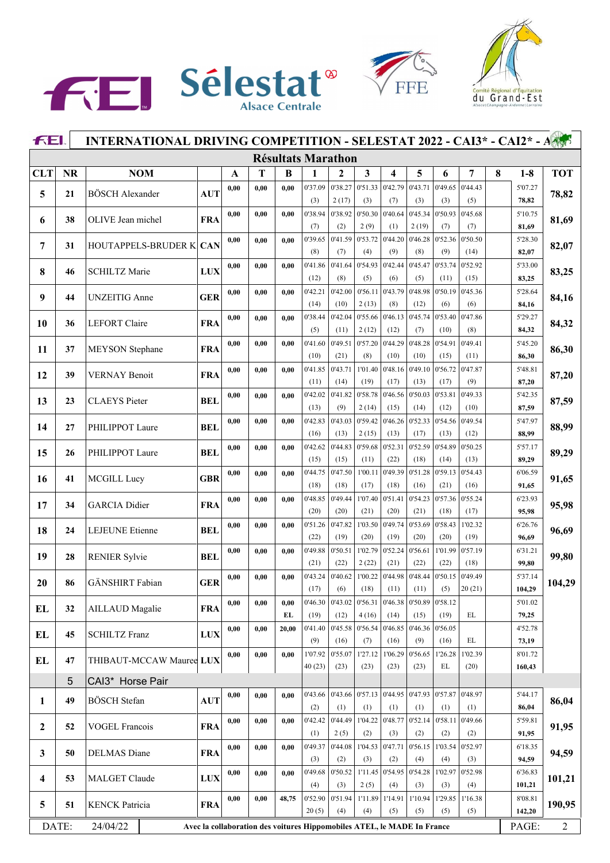





|                         | INTERNATIONAL DRIVING COMPETITION - SELESTAT 2022 - CAI3* - CAI2* - A<br>FEI. |                                |            |      |                                                                         |                           |                 |                 |                  |                                   |                 |                                 |                 |   |                  |                |  |
|-------------------------|-------------------------------------------------------------------------------|--------------------------------|------------|------|-------------------------------------------------------------------------|---------------------------|-----------------|-----------------|------------------|-----------------------------------|-----------------|---------------------------------|-----------------|---|------------------|----------------|--|
|                         |                                                                               |                                |            |      |                                                                         | <b>Résultats Marathon</b> |                 |                 |                  |                                   |                 |                                 |                 |   |                  |                |  |
| <b>CLT</b>              | <b>NR</b>                                                                     | <b>NOM</b>                     |            | A    | T                                                                       | B                         | 1               | $\mathbf{2}$    | 3                | 4                                 | 5               | 6                               | 7               | 8 | $1-8$            | <b>TOT</b>     |  |
|                         | 21                                                                            | <b>BÖSCH</b> Alexander         | <b>AUT</b> | 0,00 | 0,00                                                                    | 0.00                      | 0'37.09         | 0'38.27         | 0'51.33          | 0'42.79                           | 0'43.71         | 0'49.65                         | 0'44.43         |   | 5'07.27          |                |  |
| 5                       |                                                                               |                                |            |      |                                                                         |                           | (3)             | 2(17)           | (3)              | (7)                               | (3)             | (3)                             | (5)             |   | 78,82            | 78,82          |  |
| 6                       | 38                                                                            | OLIVE Jean michel              | <b>FRA</b> | 0,00 | 0,00                                                                    | 0.00                      | 0'38.94         | 0'38.92         | 0'50.30          | 0'40.64                           | 0'45.34         | 0'50.93                         | 0'45.68         |   | 5'10.75          | 81,69          |  |
|                         |                                                                               |                                |            |      |                                                                         |                           | (7)             | (2)             | 2(9)             | (1)                               | 2(19)           | (7)                             | (7)             |   | 81,69            |                |  |
| 7                       | 31                                                                            | <b>HOUTAPPELS-BRUDER K CAN</b> |            | 0,00 | 0,00                                                                    | 0.00                      | 0'39.65         | 0'41.59         | 0'53.72          | 0'44.20                           | 0'46.28         | 0'52.36                         | 0'50.50         |   | 5'28.30          | 82,07          |  |
|                         |                                                                               |                                |            | 0,00 | 0,00                                                                    | 0.00                      | (8)<br>0'41.86  | (7)<br>0'41.64  | (4)<br>0'54.93   | (9)<br>0'42.44                    | (8)<br>0'45.47  | (9)<br>0'53.74                  | (14)<br>0'52.92 |   | 82,07<br>5'33.00 |                |  |
| 8                       | 46                                                                            | <b>SCHILTZ Marie</b>           | <b>LUX</b> |      |                                                                         |                           | (12)            | (8)             | (5)              | (6)                               | (5)             | (11)                            | (15)            |   | 83,25            | 83,25          |  |
|                         |                                                                               |                                |            | 0,00 | 0,00                                                                    | 0.00                      | 0'42.21         | 0'42.00         | 0'56.11          | 0'43.79                           | 0'48.98         | 0'50.19                         | 0'45.36         |   | 5'28.64          |                |  |
| 9                       | 44                                                                            | <b>UNZEITIG</b> Anne           | <b>GER</b> |      |                                                                         |                           | (14)            | (10)            | 2(13)            | (8)                               | (12)            | (6)                             | (6)             |   | 84,16            | 84,16          |  |
|                         |                                                                               |                                |            | 0,00 | 0,00                                                                    | 0.00                      | 0'38.44         | 0'42.04         | 0'55.66          | 0'46.13                           | 0'45.74         | 0'53.40                         | 0'47.86         |   | 5'29.27          |                |  |
| 10                      | 36                                                                            | <b>LEFORT</b> Claire           | <b>FRA</b> |      |                                                                         |                           | (5)             | (11)            | 2(12)            | (12)                              | (7)             | (10)                            | (8)             |   | 84,32            | 84,32          |  |
| 11                      | 37                                                                            | <b>MEYSON</b> Stephane         | <b>FRA</b> | 0,00 | 0,00                                                                    | 0.00                      | 0'41.60         | 0'49.51         | 0'57.20          | 0'44.29                           | 0'48.28         | 0'54.91                         | 0'49.41         |   | 5'45.20          | 86,30          |  |
|                         |                                                                               |                                |            |      |                                                                         |                           | (10)            | (21)            | (8)              | (10)                              | (10)            | (15)                            | (11)            |   | 86,30            |                |  |
| 12                      | 39                                                                            | <b>VERNAY Benoit</b>           | <b>FRA</b> | 0,00 | 0,00                                                                    | 0.00                      | 0'41.85         | 0'43.71         | 1'01.40          | 0'48.16                           | 0'49.10         | 0'56.72                         | 0'47.87         |   | 5'48.81          | 87,20          |  |
|                         |                                                                               |                                |            |      |                                                                         |                           | (11)            | (14)            | (19)             | (17)                              | (13)            | (17)                            | (9)             |   | 87,20            |                |  |
| 13                      | 23                                                                            | <b>CLAEYS</b> Pieter           | <b>BEL</b> | 0,00 | 0,00                                                                    | 0.00                      | 0'42.02         | 0'41.82         | 0'58.78          | 0'46.56                           | 0'50.03         | 0'53.81                         | 0'49.33         |   | 5'42.35          | 87,59          |  |
|                         |                                                                               |                                |            |      |                                                                         |                           | (13)<br>0'42.83 | (9)<br>0'43.03  | 2(14)<br>0'59.42 | (15)<br>0'46.26                   | (14)<br>0'52.33 | (12)<br>0'54.56                 | (10)<br>0'49.54 |   | 87,59<br>5'47.97 |                |  |
| 14                      | 27                                                                            | PHILIPPOT Laure                | <b>BEL</b> | 0,00 | 0,00                                                                    | 0.00                      | (16)            | (13)            | 2(15)            | (13)                              | (17)            | (13)                            | (12)            |   | 88,99            | 88,99          |  |
|                         |                                                                               |                                |            | 0,00 | 0,00                                                                    | 0,00                      | 0'42.62         | 0'44.83         | 0'59.68          | 0'52.31                           | 0'52.59         | 0'54.89                         | 0'50.25         |   | 5'57.17          |                |  |
| 15                      | 26                                                                            | PHILIPPOT Laure                | <b>BEL</b> |      |                                                                         |                           | (15)            | (15)            | (11)             | (22)                              | (18)            | (14)                            | (13)            |   | 89,29            | 89,29          |  |
|                         |                                                                               |                                |            | 0,00 | 0,00                                                                    | 0,00                      | 0'44.75         | 0'47.50         | 1'00.11          | 0'49.39                           | 0'51.28         | 0'59.13                         | 0'54.43         |   | 6'06.59          |                |  |
| <b>16</b>               | 41                                                                            | MCGILL Lucy                    | <b>GBR</b> |      |                                                                         |                           | (18)            | (18)            | (17)             | (18)                              | (16)            | (21)                            | (16)            |   | 91,65            | 91,65          |  |
| 17                      | 34                                                                            | <b>GARCIA</b> Didier           | <b>FRA</b> | 0,00 | 0,00                                                                    | 0.00                      | 0'48.85         | 0'49.44         | 1'07.40          | 0'51.41                           | 0'54.23         | 0'57.36                         | 0'55.24         |   | 6'23.93          | 95,98          |  |
|                         |                                                                               |                                |            |      |                                                                         |                           | (20)            | (20)            | (21)             | (20)                              | (21)            | (18)                            | (17)            |   | 95,98            |                |  |
| 18                      | 24                                                                            | <b>LEJEUNE</b> Etienne         | <b>BEL</b> | 0,00 | 0,00                                                                    | 0.00                      | 0'51.26         | 0'47.82         | 1'03.50          | 0'49.74                           | 0'53.69         | 0'58.43                         | 1'02.32         |   | 6'26.76          | 96,69          |  |
|                         |                                                                               |                                |            |      |                                                                         |                           | (22)            | (19)            | (20)             | (19)                              | (20)            | (20)                            | (19)            |   | 96,69            |                |  |
| 19                      | 28                                                                            | <b>RENIER Sylvie</b>           | <b>BEL</b> | 0,00 | 0,00                                                                    | 0.00                      | 0'49.88         | 0'50.51         | 1'02.79          | 0'52.24                           | 0'56.61         | 1'01.99                         | 0'57.19         |   | 6'31.21          | 99,80          |  |
|                         |                                                                               |                                |            | 0,00 | 0,00                                                                    | 0.00                      | (21)<br>0'43.24 | (22)            | 2(22)            | (21)<br>$0'40.62$ 1'00.22 0'44.98 | (22)            | (22)<br>0'48.44 0'50.15 0'49.49 | (18)            |   | 99,80<br>5'37.14 |                |  |
| 20                      | 86                                                                            | GÄNSHIRT Fabian                | <b>GER</b> |      |                                                                         |                           | (17)            | (6)             | (18)             | (11)                              | (11)            | (5)                             | 20(21)          |   | 104,29           | 104,29         |  |
|                         |                                                                               |                                |            | 0,00 | 0,00                                                                    | 0.00                      | 0'46.30         | 0'43.02         | 0'56.31          | 0'46.38                           | 0'50.89         | 0'58.12                         |                 |   | 5'01.02          |                |  |
| EL                      | 32                                                                            | <b>AILLAUD</b> Magalie         | <b>FRA</b> |      |                                                                         | EL                        | (19)            | (12)            | 4(16)            | (14)                              | (15)            | (19)                            | EL              |   | 79,25            |                |  |
|                         |                                                                               |                                |            | 0,00 | 0,00                                                                    | 20,00                     | 0'41.40         | 0'45.58         | 0'56.54          | 0'46.85                           | 0'46.36         | 0'56.05                         |                 |   | 4'52.78          |                |  |
| EL                      | 45                                                                            | <b>SCHILTZ Franz</b>           | <b>LUX</b> |      |                                                                         |                           | (9)             | (16)            | (7)              | (16)                              | (9)             | (16)                            | EL              |   | 73,19            |                |  |
| EL                      | 47                                                                            | THIBAUT-MCCAW Mauree LUX       |            | 0,00 | 0,00                                                                    | 0,00                      | 1'07.92         | 0'55.07         | 1'27.12          | 1'06.29                           | 0'56.65         | 1'26.28                         | 1'02.39         |   | 8'01.72          |                |  |
|                         |                                                                               |                                |            |      |                                                                         |                           | 40(23)          | (23)            | (23)             | (23)                              | (23)            | EL                              | (20)            |   | 160,43           |                |  |
|                         | $5\phantom{.}$                                                                | CAI3* Horse Pair               |            |      |                                                                         |                           |                 |                 |                  |                                   |                 |                                 |                 |   |                  |                |  |
| 1                       | 49                                                                            | BÖSCH Stefan                   | <b>AUT</b> | 0,00 | 0,00                                                                    | 0,00                      | 0'43.66         | 0'43.66         | 0.57.13          | 0'44.95                           | 0'47.93         | 0'57.87                         | 0'48.97         |   | 5'44.17          | 86,04          |  |
|                         |                                                                               |                                |            |      |                                                                         |                           | (2)             | (1)             | (1)              | (1)                               | (1)             | (1)                             | (1)             |   | 86,04            |                |  |
| $\mathbf{2}$            | 52                                                                            | <b>VOGEL Francois</b>          | <b>FRA</b> | 0,00 | 0,00                                                                    | 0,00                      | 0'42.42         | 0'44.49         | 1'04.22          | 0'48.77                           | 0'52.14         | 0'58.11                         | 0'49.66         |   | 5'59.81          | 91,95          |  |
|                         |                                                                               |                                |            |      |                                                                         | 0,00                      | (1)<br>0'49.37  | 2(5)<br>0'44.08 | (2)<br>1'04.53   | (3)<br>0'47.71                    | (2)<br>0'56.15  | (2)<br>1'03.54                  | (2)<br>0'52.97  |   | 91,95<br>6'18.35 |                |  |
| 3                       | 50                                                                            | <b>DELMAS</b> Diane            | <b>FRA</b> | 0,00 | 0,00                                                                    |                           | (3)             | (2)             | (3)              | (2)                               | (4)             | (4)                             | (3)             |   | 94,59            | 94,59          |  |
|                         |                                                                               |                                |            | 0,00 | 0,00                                                                    | 0,00                      | 0'49.68         | 0'50.52         |                  | 1'11.45 0'54.95                   | 0'54.28         | 1'02.97                         | 0'52.98         |   | 6'36.83          |                |  |
| $\overline{\mathbf{4}}$ | 53                                                                            | <b>MALGET Claude</b>           | <b>LUX</b> |      |                                                                         |                           | (4)             | (3)             | 2(5)             | (4)                               | (3)             | (3)                             | (4)             |   | 101,21           | 101,21         |  |
|                         |                                                                               |                                |            | 0,00 | 0,00                                                                    | 48,75                     | 0'52.90         | 0'51.94         |                  | 1'11.89 1'14.91                   | 1'10.94         | 1'29.85                         | 1'16.38         |   | 8'08.81          |                |  |
| 5                       | 51                                                                            | <b>KENCK Patricia</b>          | <b>FRA</b> |      |                                                                         |                           | 20(5)           | (4)             | (4)              | (5)                               | (5)             | (5)                             | (5)             |   | 142,20           | 190,95         |  |
|                         | DATE:                                                                         | 24/04/22                       |            |      | Avec la collaboration des voitures Hippomobiles ATEL, le MADE In France |                           |                 |                 |                  |                                   |                 |                                 |                 |   | PAGE:            | $\overline{2}$ |  |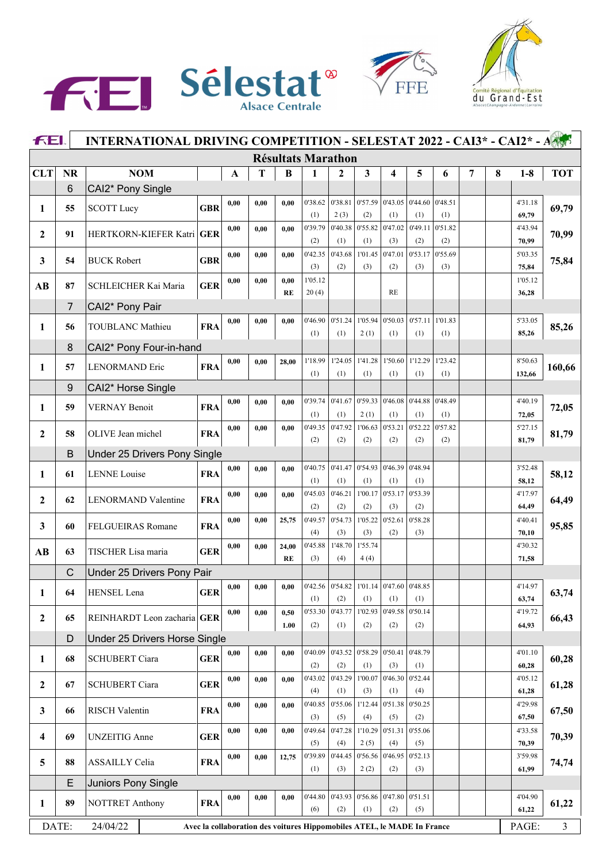





| <b>FEI.</b><br>INTERNATIONAL DRIVING COMPETITION - SELESTAT 2022 - CAI3* - CAI2* - A |                |                               |            |      |      |           |                                                                         |                |                         |                                                           |                 |                |                |   |                  |                |
|--------------------------------------------------------------------------------------|----------------|-------------------------------|------------|------|------|-----------|-------------------------------------------------------------------------|----------------|-------------------------|-----------------------------------------------------------|-----------------|----------------|----------------|---|------------------|----------------|
|                                                                                      |                |                               |            |      |      |           | <b>Résultats Marathon</b>                                               |                |                         |                                                           |                 |                |                |   |                  |                |
| <b>CLT</b>                                                                           | <b>NR</b>      | <b>NOM</b>                    |            | A    | T    | B         | 1                                                                       | $\overline{2}$ | $\overline{\mathbf{3}}$ | 4                                                         | 5               | 6              | $\overline{7}$ | 8 | $1-8$            | <b>TOT</b>     |
|                                                                                      | 6              | CAI2* Pony Single             |            |      |      |           |                                                                         |                |                         |                                                           |                 |                |                |   |                  |                |
| 1                                                                                    | 55             | <b>SCOTT Lucy</b>             | <b>GBR</b> | 0,00 | 0.00 | 0.00      | 0'38.62                                                                 | 0'38.81        | 0'57.59                 | 0'43.05                                                   | 0'44.60         | 0'48.51        |                |   | 4'31.18          | 69,79          |
|                                                                                      |                |                               |            |      |      |           | (1)                                                                     | 2(3)           | (2)                     | (1)                                                       | (1)             | (1)            |                |   | 69,79            |                |
| $\mathbf{2}$                                                                         | 91             | HERTKORN-KIEFER Katri GER     |            | 0,00 | 0,00 | 0.00      | 0'39.79                                                                 | 0'40.38        | 0'55.82                 | 0'47.02                                                   | 0'49.11         | 0'51.82        |                |   | 4'43.94          | 70,99          |
|                                                                                      |                |                               |            |      |      |           | (2)                                                                     | (1)<br>0'43.68 | (1)<br>1'01.45          | (3)<br>0'47.01                                            | (2)<br>0'53.17  | (2)<br>0'55.69 |                |   | 70,99            |                |
| 3                                                                                    | 54             | <b>BUCK Robert</b>            | <b>GBR</b> | 0,00 | 0,00 | 0,00      | 0'42.35<br>(3)                                                          | (2)            | (3)                     | (2)                                                       | (3)             | (3)            |                |   | 5'03.35<br>75,84 | 75,84          |
|                                                                                      |                |                               |            | 0,00 | 0,00 | 0.00      | 1'05.12                                                                 |                |                         |                                                           |                 |                |                |   | 1'05.12          |                |
| AB                                                                                   | 87             | SCHLEICHER Kai Maria          | <b>GER</b> |      |      | <b>RE</b> | 20(4)                                                                   |                |                         | RE                                                        |                 |                |                |   | 36,28            |                |
|                                                                                      | $\overline{7}$ | CAI2* Pony Pair               |            |      |      |           |                                                                         |                |                         |                                                           |                 |                |                |   |                  |                |
| 1                                                                                    | 56             | <b>TOUBLANC Mathieu</b>       | <b>FRA</b> | 0,00 | 0,00 | 0,00      | 0'46.90                                                                 | 0'51.24        | 1'05.94                 | 0'50.03                                                   | 0'57.11         | 1'01.83        |                |   | 5'33.05          | 85,26          |
|                                                                                      |                |                               |            |      |      |           | (1)                                                                     | (1)            | 2(1)                    | (1)                                                       | (1)             | (1)            |                |   | 85,26            |                |
|                                                                                      | 8              | CAI2* Pony Four-in-hand       |            |      |      |           |                                                                         |                |                         |                                                           |                 |                |                |   |                  |                |
| 1                                                                                    | 57             | <b>LENORMAND Eric</b>         | <b>FRA</b> | 0.00 | 0.00 | 28,00     | 1'18.99                                                                 | 1'24.05        | 1'41.28                 | 1'50.60                                                   | 1'12.29         | 1'23.42        |                |   | 8'50.63          | 160,66         |
|                                                                                      |                |                               |            |      |      |           | (1)                                                                     | (1)            | (1)                     | (1)                                                       | (1)             | (1)            |                |   | 132,66           |                |
|                                                                                      | 9              | CAI2* Horse Single            |            | 0,00 |      |           | 0'39.74                                                                 | 0'41.67        | 0'59.33                 | 0'46.08                                                   | 0'44.88         | 0'48.49        |                |   | 4'40.19          |                |
| 1                                                                                    | 59             | <b>VERNAY Benoit</b>          | <b>FRA</b> |      | 0,00 | 0,00      | (1)                                                                     | (1)            | 2(1)                    | (1)                                                       | (1)             | (1)            |                |   | 72,05            | 72,05          |
|                                                                                      |                |                               |            | 0,00 | 0,00 | 0.00      | 0'49.35                                                                 | 0'47.92        | 1'06.63                 | 0'53.21                                                   | 0'52.22         | 0'57.82        |                |   | 5'27.15          |                |
| $\mathbf{2}$                                                                         | 58             | OLIVE Jean michel             | <b>FRA</b> |      |      |           | (2)                                                                     | (2)            | (2)                     | (2)                                                       | (2)             | (2)            |                |   | 81,79            | 81,79          |
|                                                                                      | B              | Under 25 Drivers Pony Single  |            |      |      |           |                                                                         |                |                         |                                                           |                 |                |                |   |                  |                |
| 1                                                                                    | 61             | <b>LENNE</b> Louise           | <b>FRA</b> | 0,00 | 0,00 | 0.00      | 0'40.75                                                                 | 0'41.47        | 0'54.93                 | 0'46.39                                                   | 0'48.94         |                |                |   | 3'52.48          | 58,12          |
|                                                                                      |                |                               |            |      |      |           | (1)                                                                     | (1)            | (1)                     | (1)                                                       | (1)             |                |                |   | 58,12            |                |
| $\mathbf{2}$                                                                         | 62             | <b>LENORMAND Valentine</b>    | <b>FRA</b> | 0,00 | 0,00 | 0,00      | 0'45.03                                                                 | 0'46.21        | 1'00.17                 | 0'53.17                                                   | 0'53.39         |                |                |   | 4'17.97          | 64,49          |
|                                                                                      |                |                               |            |      |      |           | (2)<br>0'49.57                                                          | (2)<br>0'54.73 | (2)<br>1'05.22          | (3)<br>0'52.61                                            | (2)<br>0'58.28  |                |                |   | 64,49<br>4'40.41 |                |
| 3                                                                                    | 60             | FELGUEIRAS Romane             | <b>FRA</b> | 0,00 | 0,00 | 25,75     | (4)                                                                     | (3)            | (3)                     | (2)                                                       | (3)             |                |                |   | 70,10            | 95,85          |
|                                                                                      |                |                               |            | 0,00 | 0,00 | 24,00     | 0'45.88                                                                 | 1'48.70        | 1'55.74                 |                                                           |                 |                |                |   | 4'30.32          |                |
| AB                                                                                   | 63             | TISCHER Lisa maria            | <b>GER</b> |      |      | <b>RE</b> | (3)                                                                     | (4)            | 4(4)                    |                                                           |                 |                |                |   | 71,58            |                |
|                                                                                      | C              | Under 25 Drivers Pony Pair    |            |      |      |           |                                                                         |                |                         |                                                           |                 |                |                |   |                  |                |
| $\mathbf{1}$                                                                         | 64             | HENSEL Lena                   | <b>GER</b> | 0,00 | 0,00 | 0,00      |                                                                         |                |                         | $0'42.56$   $0'54.82$   $1'01.14$   $0'47.60$   $0'48.85$ |                 |                |                |   | 4'14.97          | 63,74          |
|                                                                                      |                |                               |            |      |      |           | (1)                                                                     | (2)            | (1)                     | (1)                                                       | (1)             |                |                |   | 63,74            |                |
| $\overline{2}$                                                                       | 65             | REINHARDT Leon zacharia GER   |            | 0,00 | 0.00 | 0,50      | 0'53.30                                                                 | 0'43.77        | 1'02.93                 | 0'49.58                                                   | 0'50.14         |                |                |   | 4'19.72          | 66,43          |
|                                                                                      | D              | Under 25 Drivers Horse Single |            |      |      | 1.00      | (2)                                                                     | (1)            | (2)                     | (2)                                                       | (2)             |                |                |   | 64,93            |                |
|                                                                                      |                |                               |            | 0,00 | 0.00 | 0.00      | 0'40.09                                                                 |                | 0'43.52 0'58.29         | 0'50.41                                                   | 0'48.79         |                |                |   | 4'01.10          |                |
| 1                                                                                    | 68             | <b>SCHUBERT Ciara</b>         | <b>GER</b> |      |      |           | (2)                                                                     | (2)            | (1)                     | (3)                                                       | (1)             |                |                |   | 60,28            | 60,28          |
|                                                                                      |                |                               | <b>GER</b> | 0,00 | 0,00 | 0.00      | 0'43.02                                                                 | 0'43.29        | 1'00.07                 | 0'46.30                                                   | 0'52.44         |                |                |   | 4'05.12          |                |
| $\mathbf{2}$                                                                         | 67             | <b>SCHUBERT Ciara</b>         |            |      |      |           | (4)                                                                     | (1)            | (3)                     | (1)                                                       | (4)             |                |                |   | 61,28            | 61,28          |
| $\mathbf{3}$                                                                         | 66             | <b>RISCH Valentin</b>         | <b>FRA</b> | 0,00 | 0,00 | 0,00      | 0'40.85                                                                 | 0'55.06        | 1'12.44                 |                                                           | 0'51.38 0'50.25 |                |                |   | 4'29.98          | 67,50          |
|                                                                                      |                |                               |            |      |      |           | (3)                                                                     | (5)            | (4)                     | (5)                                                       | (2)             |                |                |   | 67,50            |                |
| $\overline{\mathbf{4}}$                                                              | 69             | <b>UNZEITIG</b> Anne          | <b>GER</b> | 0,00 | 0,00 | 0,00      | 0'49.64                                                                 | 0'47.28        | 1'10.29                 | 0'51.31                                                   | 0'55.06         |                |                |   | 4'33.58          | 70,39          |
|                                                                                      |                |                               |            | 0,00 | 0,00 | 12,75     | (5)<br>0'39.89                                                          | (4)<br>0'44.45 | 2(5)<br>0'56.56         | (4)<br>0'46.95                                            | (5)<br>0'52.13  |                |                |   | 70,39<br>3'59.98 |                |
| 5                                                                                    | 88             | <b>ASSAILLY Celia</b>         | <b>FRA</b> |      |      |           | (1)                                                                     | (3)            | 2(2)                    | (2)                                                       | (3)             |                |                |   | 61,99            | 74,74          |
|                                                                                      | E              | Juniors Pony Single           |            |      |      |           |                                                                         |                |                         |                                                           |                 |                |                |   |                  |                |
|                                                                                      |                |                               |            | 0,00 | 0.00 | 0,00      | 0'44.80                                                                 |                | $0'43.93$ 0'56.86       |                                                           | 0'47.80 0'51.51 |                |                |   | 4'04.90          |                |
| 1                                                                                    | 89             | <b>NOTTRET Anthony</b>        | <b>FRA</b> |      |      |           | (6)                                                                     | (2)            | (1)                     | (2)                                                       | (5)             |                |                |   | 61,22            | 61,22          |
|                                                                                      | DATE:          | 24/04/22                      |            |      |      |           | Avec la collaboration des voitures Hippomobiles ATEL, le MADE In France |                |                         |                                                           |                 |                |                |   | PAGE:            | $\mathfrak{Z}$ |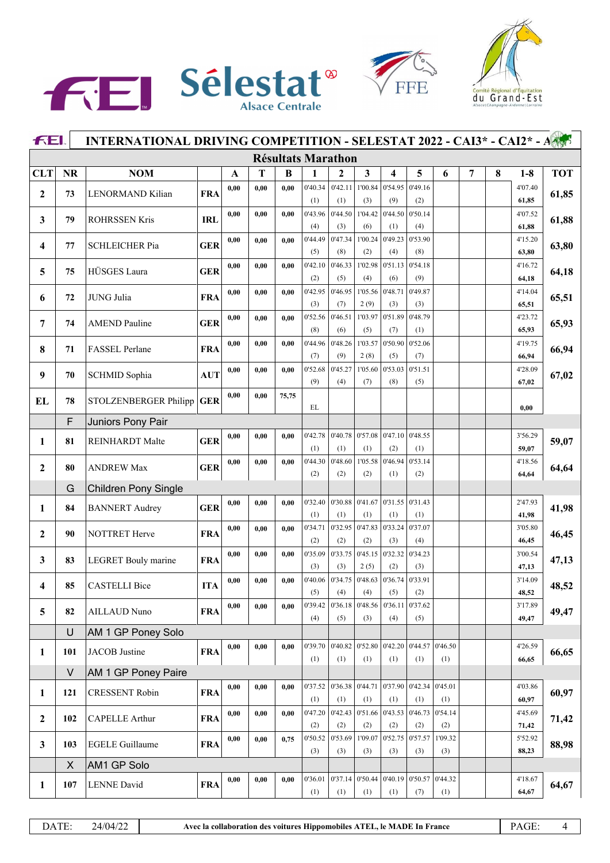





|                  | <b>FEI.</b><br>INTERNATIONAL DRIVING COMPETITION - SELESTAT 2022 - CAI3* - CAI2* - A |                             |            |      |      |       |                           |                                   |                 |                                                 |                |                 |   |   |                  |            |
|------------------|--------------------------------------------------------------------------------------|-----------------------------|------------|------|------|-------|---------------------------|-----------------------------------|-----------------|-------------------------------------------------|----------------|-----------------|---|---|------------------|------------|
|                  |                                                                                      |                             |            |      |      |       | <b>Résultats Marathon</b> |                                   |                 |                                                 |                |                 |   |   |                  |            |
| <b>CLT</b>       | <b>NR</b>                                                                            | <b>NOM</b>                  |            | A    | Т    | B     | 1                         | 2                                 | 3               | $\overline{\mathbf{4}}$                         | 5              | 6               | 7 | 8 | $1-8$            | <b>TOT</b> |
| $\mathbf{2}$     | 73                                                                                   | LENORMAND Kilian            | <b>FRA</b> | 0,00 | 0,00 | 0,00  | 0'40.34<br>(1)            | 0'42.11<br>(1)                    | 1'00.84<br>(3)  | 0'54.95<br>(9)                                  | 0'49.16<br>(2) |                 |   |   | 4'07.40<br>61,85 | 61,85      |
|                  |                                                                                      |                             |            | 0,00 | 0,00 | 0.00  | 0'43.96                   | 0'44.50                           | 1'04.42         | 0'44.50                                         | 0'50.14        |                 |   |   | 4'07.52          |            |
| 3                | 79                                                                                   | <b>ROHRSSEN Kris</b>        | <b>IRL</b> |      |      |       | (4)                       | (3)                               | (6)             | (1)                                             | (4)            |                 |   |   | 61,88            | 61,88      |
|                  |                                                                                      |                             |            | 0,00 | 0,00 | 0.00  | 0'44.49                   | 0'47.34                           | 1'00.24         | 0'49.23                                         | 0'53.90        |                 |   |   | 4'15.20          |            |
| 4                | 77                                                                                   | <b>SCHLEICHER Pia</b>       | <b>GER</b> |      |      |       | (5)                       | (8)                               | (2)             | (4)                                             | (8)            |                 |   |   | 63,80            | 63,80      |
| 5                | 75                                                                                   | HÜSGES Laura                | <b>GER</b> | 0,00 | 0,00 | 0.00  | 0'42.10                   | 0'46.33                           | 1'02.98         | 0'51.13                                         | 0'54.18        |                 |   |   | 4'16.72          | 64,18      |
|                  |                                                                                      |                             |            |      |      |       | (2)                       | (5)                               | (4)             | (6)                                             | (9)            |                 |   |   | 64,18            |            |
| 6                | 72                                                                                   | JUNG Julia                  | <b>FRA</b> | 0,00 | 0,00 | 0.00  | 0'42.95<br>(3)            | 0'46.95<br>(7)                    | 1'05.56<br>2(9) | 0'48.71<br>(3)                                  | 0'49.87<br>(3) |                 |   |   | 4'14.04<br>65,51 | 65,51      |
|                  |                                                                                      |                             |            | 0,00 | 0.00 | 0.00  | 0'52.56                   | 0'46.51                           | 1'03.97         | 0'51.89                                         | 0'48.79        |                 |   |   | 4'23.72          |            |
| 7                | 74                                                                                   | <b>AMEND Pauline</b>        | <b>GER</b> |      |      |       | (8)                       | (6)                               | (5)             | (7)                                             | (1)            |                 |   |   | 65,93            | 65,93      |
|                  |                                                                                      |                             |            | 0,00 | 0,00 | 0.00  | 0'44.96                   | 0'48.26                           | 1'03.57         | 0'50.90                                         | 0'52.06        |                 |   |   | 4'19.75          |            |
| 8                | 71                                                                                   | FASSEL Perlane              | <b>FRA</b> |      |      |       | (7)                       | (9)                               | 2(8)            | (5)                                             | (7)            |                 |   |   | 66,94            | 66,94      |
| 9                | 70                                                                                   | SCHMID Sophia               | <b>AUT</b> | 0,00 | 0,00 | 0.00  | 0'52.68                   | 0'45.27                           | 1'05.60         | 0'53.03                                         | 0'51.51        |                 |   |   | 4'28.09          | 67,02      |
|                  |                                                                                      |                             |            |      |      |       | (9)                       | (4)                               | (7)             | (8)                                             | (5)            |                 |   |   | 67,02            |            |
| EL               | 78                                                                                   | STOLZENBERGER Philipp       | <b>GER</b> | 0,00 | 0,00 | 75,75 | EL                        |                                   |                 |                                                 |                |                 |   |   | 0,00             |            |
|                  | F                                                                                    | Juniors Pony Pair           |            |      |      |       |                           |                                   |                 |                                                 |                |                 |   |   |                  |            |
|                  | 81                                                                                   | <b>REINHARDT Malte</b>      | <b>GER</b> | 0,00 | 0,00 | 0,00  | 0'42.78                   | 0'40.78                           | 0'57.08         | 0'47.10                                         | 0'48.55        |                 |   |   | 3'56.29          | 59,07      |
| 1                |                                                                                      |                             |            |      |      |       | (1)                       | (1)                               | (1)             | (2)                                             | (1)            |                 |   |   | 59,07            |            |
| $\boldsymbol{2}$ | 80                                                                                   | <b>ANDREW Max</b>           | <b>GER</b> | 0,00 | 0,00 | 0.00  | 0'44.30                   | 0'48.60                           | 1'05.58         | 0'46.94                                         | 0'53.14        |                 |   |   | 4'18.56          | 64,64      |
|                  |                                                                                      |                             |            |      |      |       | (2)                       | (2)                               | (2)             | (1)                                             | (2)            |                 |   |   | 64,64            |            |
|                  | G                                                                                    | <b>Children Pony Single</b> |            |      |      |       |                           |                                   |                 |                                                 |                |                 |   |   |                  |            |
| $\mathbf{1}$     | 84                                                                                   | <b>BANNERT</b> Audrey       | <b>GER</b> | 0,00 | 0,00 | 0.00  | 0'32.40<br>(1)            | (1)                               | (1)             | 0'30.88 0'41.67 0'31.55<br>(1)                  | 0'31.43<br>(1) |                 |   |   | 2'47.93<br>41,98 | 41,98      |
|                  |                                                                                      |                             |            | 0,00 | 0,00 | 0.00  | 0'34.71                   | 0'32.95                           | 0'47.83         | 0'33.24                                         | 0'37.07        |                 |   |   | 3'05.80          |            |
| $\mathbf{2}$     | 90                                                                                   | NOTTRET Herve               | <b>FRA</b> |      |      |       | (2)                       | (2)                               | (2)             | (3)                                             | (4)            |                 |   |   | 46,45            | 46,45      |
|                  |                                                                                      |                             |            | 0,00 | 0,00 | 0.00  | 0'35.09                   | 0'33.75                           | 0'45.15         | 0'32.32                                         | 0'34.23        |                 |   |   | 3'00.54          |            |
| 3                | 83                                                                                   | <b>LEGRET</b> Bouly marine  | <b>FRA</b> |      |      |       | (3)                       | (3)                               | 2(5)            | (2)                                             | (3)            |                 |   |   | 47,13            | 47,13      |
| 4                | 85                                                                                   | <b>CASTELLI Bice</b>        | <b>ITA</b> | 0,00 | 0,00 | 0.00  | 0'40.06                   | 0'34.75                           | 0'48.63         | 0'36.74                                         | 0'33.91        |                 |   |   | 3'14.09          | 48,52      |
|                  |                                                                                      |                             |            |      |      |       | (5)                       | (4)                               | (4)             | (5)                                             | (2)            |                 |   |   | 48,52            |            |
| 5                | 82                                                                                   | AILLAUD Nuno                | <b>FRA</b> | 0,00 | 0.00 | 0.00  | 0'39.42<br>(4)            | 0'36.18<br>(5)                    | 0'48.56<br>(3)  | 0'36.11<br>(4)                                  | 0'37.62<br>(5) |                 |   |   | 3'17.89<br>49,47 | 49,47      |
|                  | U                                                                                    | AM 1 GP Poney Solo          |            |      |      |       |                           |                                   |                 |                                                 |                |                 |   |   |                  |            |
|                  |                                                                                      |                             |            | 0,00 | 0.00 | 0,00  | 0'39.70                   | 0'40.82                           | 0'52.80         | 0'42.20                                         | 0'44.57        | 0'46.50         |   |   | 4'26.59          |            |
| $\mathbf{1}$     | 101                                                                                  | JACOB Justine               | <b>FRA</b> |      |      |       | (1)                       | (1)                               | (1)             | (1)                                             | (1)            | (1)             |   |   | 66,65            | 66,65      |
|                  | V                                                                                    | AM 1 GP Poney Paire         |            |      |      |       |                           |                                   |                 |                                                 |                |                 |   |   |                  |            |
|                  |                                                                                      |                             |            | 0,00 | 0.00 | 0,00  |                           | $0'37.52$ 0'36.38 0'44.71 0'37.90 |                 |                                                 |                | 0'42.34 0'45.01 |   |   | 4'03.86          | 60,97      |
| 1                | 121                                                                                  | <b>CRESSENT Robin</b>       | <b>FRA</b> |      |      |       | (1)                       | (1)                               | (1)             | (1)                                             | (1)            | (1)             |   |   | 60,97            |            |
| $\overline{2}$   | 102                                                                                  | CAPELLE Arthur              | <b>FRA</b> | 0,00 | 0,00 | 0,00  | 0'47.20                   |                                   |                 | $0'42.43 \mid 0'51.66 \mid 0'43.53$             | 0'46.73        | 0'54.14         |   |   | 4'45.69          | 71,42      |
|                  |                                                                                      |                             |            |      |      |       | (2)                       | (2)                               | (2)             | (2)                                             | (2)            | (2)             |   |   | 71,42            |            |
| 3                | 103                                                                                  | <b>EGELE Guillaume</b>      | <b>FRA</b> | 0,00 | 0,00 | 0,75  | 0'50.52<br>(3)            | 0'53.69<br>(3)                    | 1'09.07<br>(3)  | 0'52.75<br>(3)                                  | 0'57.57<br>(3) | 1'09.32<br>(3)  |   |   | 5'52.92<br>88,23 | 88,98      |
|                  | X                                                                                    | AM1 GP Solo                 |            |      |      |       |                           |                                   |                 |                                                 |                |                 |   |   |                  |            |
|                  |                                                                                      |                             |            | 0,00 | 0,00 | 0,00  | 0'36.01                   |                                   |                 | $\vert$ 0'37.14 $\vert$ 0'50.44 $\vert$ 0'40.19 |                | 0'50.57 0'44.32 |   |   | 4'18.67          |            |
| 1                | 107                                                                                  | <b>LENNE</b> David          | <b>FRA</b> |      |      |       | (1)                       | (1)                               | (1)             | (1)                                             | (7)            | (1)             |   |   | 64,67            | 64,67      |